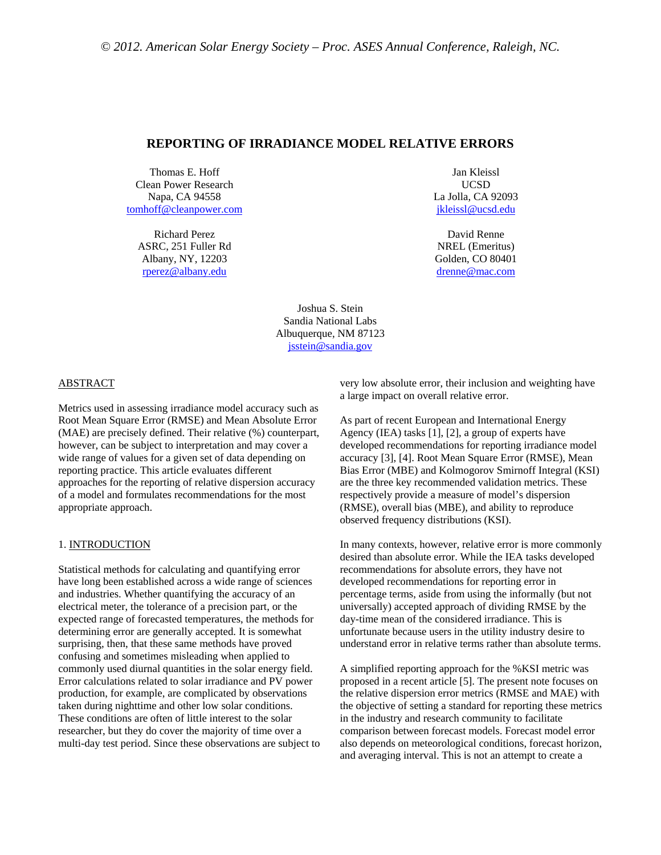# **REPORTING OF IRRADIANCE MODEL RELATIVE ERRORS**

Thomas E. Hoff Clean Power Research Napa, CA 94558 tomhoff@cleanpower.com

Richard Perez ASRC, 251 Fuller Rd Albany, NY, 12203 rperez@albany.edu

Jan Kleissl UCSD La Jolla, CA 92093 jkleissl@ucsd.edu

David Renne NREL (Emeritus) Golden, CO 80401 drenne@mac.com

Joshua S. Stein Sandia National Labs Albuquerque, NM 87123 jsstein@sandia.gov

#### ABSTRACT

Metrics used in assessing irradiance model accuracy such as Root Mean Square Error (RMSE) and Mean Absolute Error (MAE) are precisely defined. Their relative (%) counterpart, however, can be subject to interpretation and may cover a wide range of values for a given set of data depending on reporting practice. This article evaluates different approaches for the reporting of relative dispersion accuracy of a model and formulates recommendations for the most appropriate approach.

### 1. INTRODUCTION

Statistical methods for calculating and quantifying error have long been established across a wide range of sciences and industries. Whether quantifying the accuracy of an electrical meter, the tolerance of a precision part, or the expected range of forecasted temperatures, the methods for determining error are generally accepted. It is somewhat surprising, then, that these same methods have proved confusing and sometimes misleading when applied to commonly used diurnal quantities in the solar energy field. Error calculations related to solar irradiance and PV power production, for example, are complicated by observations taken during nighttime and other low solar conditions. These conditions are often of little interest to the solar researcher, but they do cover the majority of time over a multi-day test period. Since these observations are subject to very low absolute error, their inclusion and weighting have a large impact on overall relative error.

As part of recent European and International Energy Agency (IEA) tasks [1], [2], a group of experts have developed recommendations for reporting irradiance model accuracy [3], [4]. Root Mean Square Error (RMSE), Mean Bias Error (MBE) and Kolmogorov Smirnoff Integral (KSI) are the three key recommended validation metrics. These respectively provide a measure of model's dispersion (RMSE), overall bias (MBE), and ability to reproduce observed frequency distributions (KSI).

In many contexts, however, relative error is more commonly desired than absolute error. While the IEA tasks developed recommendations for absolute errors, they have not developed recommendations for reporting error in percentage terms, aside from using the informally (but not universally) accepted approach of dividing RMSE by the day-time mean of the considered irradiance. This is unfortunate because users in the utility industry desire to understand error in relative terms rather than absolute terms.

A simplified reporting approach for the %KSI metric was proposed in a recent article [5]. The present note focuses on the relative dispersion error metrics (RMSE and MAE) with the objective of setting a standard for reporting these metrics in the industry and research community to facilitate comparison between forecast models. Forecast model error also depends on meteorological conditions, forecast horizon, and averaging interval. This is not an attempt to create a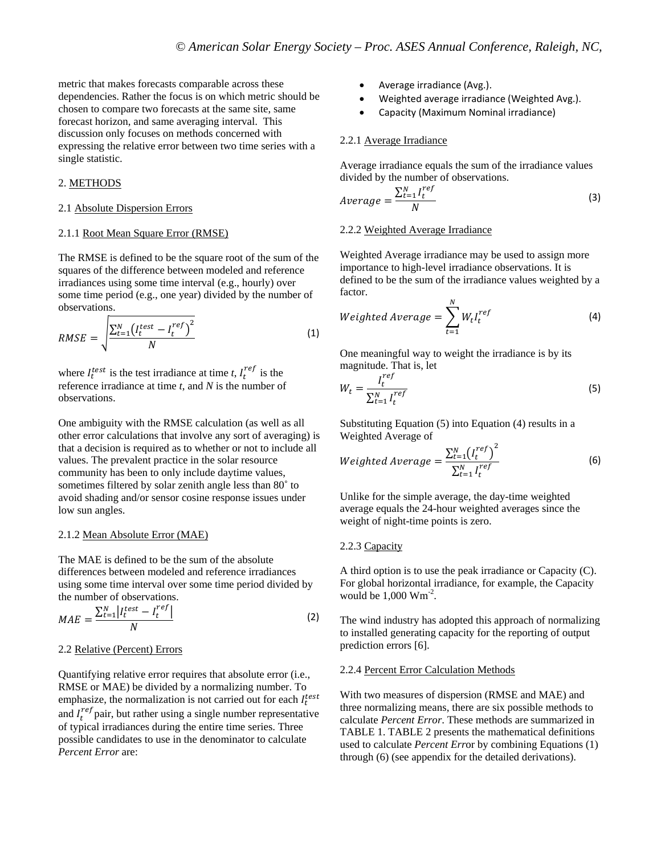metric that makes forecasts comparable across these dependencies. Rather the focus is on which metric should be chosen to compare two forecasts at the same site, same forecast horizon, and same averaging interval. This discussion only focuses on methods concerned with expressing the relative error between two time series with a single statistic.

## 2. METHODS

### 2.1 Absolute Dispersion Errors

## 2.1.1 Root Mean Square Error (RMSE)

The RMSE is defined to be the square root of the sum of the squares of the difference between modeled and reference irradiances using some time interval (e.g., hourly) over some time period (e.g., one year) divided by the number of observations.

$$
RMSE = \sqrt{\frac{\sum_{t=1}^{N} \left(I_t^{test} - I_t^{ref}\right)^2}{N}}
$$
\n(1)

where  $I_t^{test}$  is the test irradiance at time *t*,  $I_t^{ref}$  is the reference irradiance at time *t*, and *N* is the number of observations.

One ambiguity with the RMSE calculation (as well as all other error calculations that involve any sort of averaging) is that a decision is required as to whether or not to include all values. The prevalent practice in the solar resource community has been to only include daytime values, sometimes filtered by solar zenith angle less than 80˚ to avoid shading and/or sensor cosine response issues under low sun angles.

#### 2.1.2 Mean Absolute Error (MAE)

The MAE is defined to be the sum of the absolute differences between modeled and reference irradiances using some time interval over some time period divided by the number of observations.

$$
MAE = \frac{\sum_{t=1}^{N} \left| I_t^{test} - I_t^{ref} \right|}{N}
$$
 (2)

### 2.2 Relative (Percent) Errors

Quantifying relative error requires that absolute error (i.e., RMSE or MAE) be divided by a normalizing number. To emphasize, the normalization is not carried out for each  $I_t^{test}$ and  $I_t^{ref}$  pair, but rather using a single number representative of typical irradiances during the entire time series. Three possible candidates to use in the denominator to calculate *Percent Error* are:

- Average irradiance (Avg.).
- Weighted average irradiance (Weighted Avg.).
- Capacity (Maximum Nominal irradiance)

#### 2.2.1 Average Irradiance

Average irradiance equals the sum of the irradiance values divided by the number of observations.

$$
Average = \frac{\sum_{t=1}^{N} I_t^{ref}}{N}
$$
 (3)

#### 2.2.2 Weighted Average Irradiance

Weighted Average irradiance may be used to assign more importance to high-level irradiance observations. It is defined to be the sum of the irradiance values weighted by a factor. ே

$$
Weighted Average = \sum_{t=1}^{N} W_t I_t^{ref}
$$
 (4)

One meaningful way to weight the irradiance is by its magnitude. That is, let

$$
W_t = \frac{I_t^{ref}}{\sum_{t=1}^{N} I_t^{ref}}\tag{5}
$$

Substituting Equation (5) into Equation (4) results in a Weighted Average of

$$
Weighted Average = \frac{\sum_{t=1}^{N} (I_t^{ref})^2}{\sum_{t=1}^{N} I_t^{ref}}
$$
(6)

Unlike for the simple average, the day-time weighted average equals the 24-hour weighted averages since the weight of night-time points is zero.

### 2.2.3 Capacity

A third option is to use the peak irradiance or Capacity (C). For global horizontal irradiance, for example, the Capacity would be  $1,000 \text{ Wm}^{-2}$ .

The wind industry has adopted this approach of normalizing to installed generating capacity for the reporting of output prediction errors [6].

## 2.2.4 Percent Error Calculation Methods

With two measures of dispersion (RMSE and MAE) and three normalizing means, there are six possible methods to calculate *Percent Error*. These methods are summarized in TABLE 1. TABLE 2 presents the mathematical definitions used to calculate *Percent Err*or by combining Equations (1) through (6) (see appendix for the detailed derivations).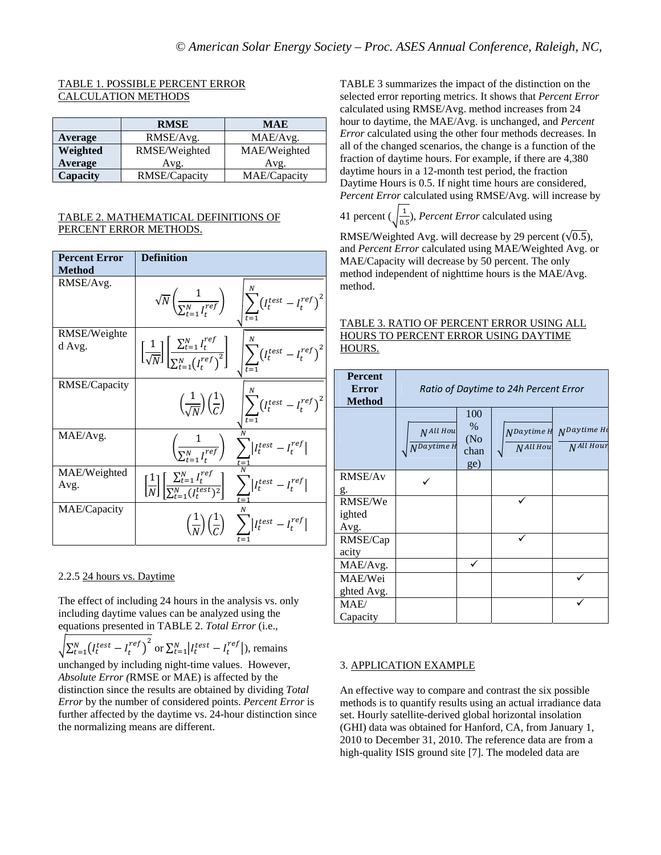# TABLE 1. POSSIBLE PERCENT ERROR CALCULATION METHODS

|          | <b>RMSE</b>   | <b>MAE</b>   |  |  |
|----------|---------------|--------------|--|--|
| Average  | RMSE/Avg.     | MAE/Avg.     |  |  |
| Weighted | RMSE/Weighted | MAE/Weighted |  |  |
| Average  | Avg.          | Avg.         |  |  |
| Capacity | RMSE/Capacity | MAE/Capacity |  |  |

## TABLE 2. MATHEMATICAL DEFINITIONS OF PERCENT ERROR METHODS.

| <b>Percent Error</b>   | <b>Definition</b>                                                                                                                                         |                                                                                                                                                                                                         |
|------------------------|-----------------------------------------------------------------------------------------------------------------------------------------------------------|---------------------------------------------------------------------------------------------------------------------------------------------------------------------------------------------------------|
| <b>Method</b>          |                                                                                                                                                           |                                                                                                                                                                                                         |
| RMSE/Avg.              |                                                                                                                                                           | $\sqrt{N}\left(\frac{1}{\sum_{t=1}^{N}l_t^{ref}}\right)$ $\left \sum_{t=1}^{N}\left(l_t^{test}-l_t^{ref}\right)^2\right $                                                                               |
| RMSE/Weighte<br>d Avg. |                                                                                                                                                           | $\left[\frac{1}{\sqrt{N}}\right] \left[\frac{\sum_{t=1}^{N} I^{ref}_{t}}{\sum_{t=1}^{N} \left(I^{ref}_{t}\right)^2}\right] \quad \left \sum_{t=1}^{N} \left(I^{test}_{t} - I^{ref}_{t}\right)^2\right.$ |
| RMSE/Capacity          |                                                                                                                                                           | $\left(\!\frac{1}{\sqrt{N}}\!\right)\!\left(\!\frac{1}{C}\!\right) \quad \  \left \sum_{t=1}^{\cdots}\!\left(l_t^{test}-l_t^{ref}\right)^2\!\right.$                                                    |
| MAE/Avg.               |                                                                                                                                                           | $\left(\frac{1}{\sum_{t=1}^{N}I_t^{ref}}\right)\sum_{t=1}^{N} I_t^{test}-I_t^{ref} $                                                                                                                    |
| MAE/Weighted<br>Avg.   | $\left[\frac{1}{N}\right] \left[\frac{\sum_{t=1}^{N} I_t^{ref}}{\sum_{t=1}^{N} (I_t^{test})^2}\right] \sum_{t=1}^{N} \left I_t^{test} - I_t^{ref}\right $ |                                                                                                                                                                                                         |
| MAE/Capacity           |                                                                                                                                                           | $\left(\frac{1}{N}\right)\left(\frac{1}{C}\right)$ $\sum  I_t^{test} - I_t^{ref} $                                                                                                                      |

# 2.2.5 24 hours vs. Daytime

The effect of including 24 hours in the analysis vs. only including daytime values can be analyzed using the equations presented in TABLE 2. *Total Error* (i.e.,

 $\sqrt{\sum_{t=1}^{N} (I_t^{test} - I_t^{ref})^2}$  or  $\sum_{t=1}^{N} |I_t^{test} - I_t^{ref}|$ ), remains unchanged by including night-time values. However, *Absolute Error (*RMSE or MAE) is affected by the distinction since the results are obtained by dividing *Total Error* by the number of considered points. *Percent Error* is further affected by the daytime vs. 24-hour distinction since the normalizing means are different.

TABLE 3 summarizes the impact of the distinction on the selected error reporting metrics. It shows that *Percent Error* calculated using RMSE/Avg. method increases from 24 hour to daytime, the MAE/Avg. is unchanged, and *Percent Error* calculated using the other four methods decreases. In all of the changed scenarios, the change is a function of the fraction of daytime hours. For example, if there are 4,380 daytime hours in a 12-month test period, the fraction Daytime Hours is 0.5. If night time hours are considered, *Percent Error* calculated using RMSE/Avg. will increase by

41 percent  $(\sqrt{\frac{1}{0.5}})$ , *Percent Error* calculated using

RMSE/Weighted Avg. will decrease by 29 percent  $(\sqrt{0.5})$ , and *Percent Error* calculated using MAE/Weighted Avg. or MAE/Capacity will decrease by 50 percent. The only method independent of nighttime hours is the MAE/Avg. method.

## TABLE 3. RATIO OF PERCENT ERROR USING ALL HOURS TO PERCENT ERROR USING DAYTIME HOURS.

| <b>Percent</b><br><b>Error</b><br><b>Method</b> | Ratio of Daytime to 24h Percent Error |                                    |                               |                                    |  |
|-------------------------------------------------|---------------------------------------|------------------------------------|-------------------------------|------------------------------------|--|
|                                                 | NAll Hou<br>N <sup>Daytime</sup> H    | 100<br>$\%$<br>(No)<br>chan<br>ge) | NDaytime H<br><b>NAll Hou</b> | $N$ Daytime Ho<br><b>NAll Hour</b> |  |
| RMSE/Av<br>g.                                   |                                       |                                    |                               |                                    |  |
| RMSE/We<br>ighted<br>Avg.                       |                                       |                                    |                               |                                    |  |
| RMSE/Cap<br>acity                               |                                       |                                    |                               |                                    |  |
| MAE/Avg.                                        |                                       |                                    |                               |                                    |  |
| MAE/Wei<br>ghted Avg.                           |                                       |                                    |                               |                                    |  |
| MAE/<br>Capacity                                |                                       |                                    |                               |                                    |  |

# 3. APPLICATION EXAMPLE

An effective way to compare and contrast the six possible methods is to quantify results using an actual irradiance data set. Hourly satellite-derived global horizontal insolation (GHI) data was obtained for Hanford, CA, from January 1, 2010 to December 31, 2010. The reference data are from a high-quality ISIS ground site [7]. The modeled data are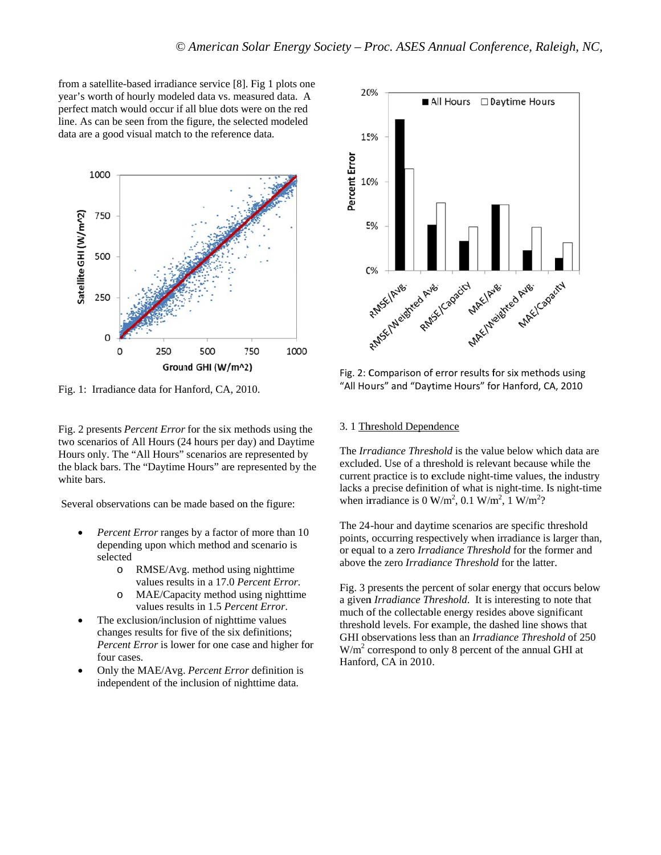from a satellite-based irradiance service [8]. Fig 1 plots one year's worth of hourly modeled data vs. measured data. A perfect match would occur if all blue dots were on the red line. As can be seen from the figure, the selected modeled data are a good visual match to the reference data.



Fig. 1: Irradiance data for Hanford, CA, 2010.

Fig. 2 presents *Percent Error* for the six methods using the two scenarios of All Hours (24 hours per day) and Daytime Hours only. The "All Hours" scenarios are represented by the black bars. The "Daytime Hours" are represented by the white bars.

Several observations can be made based on the figure:

- Percent Error ranges by a factor of more than 10 depending upon which method and scenario is selected
	- o RMSE/Avg. method using nighttime values results in a 17.0 Percent Error.
	- MAE/Capacity method using nighttime  $\circ$ values results in 1.5 Percent Error.
- The exclusion/inclusion of nighttime values changes results for five of the six definitions; Percent Error is lower for one case and higher for four cases.
- Only the MAE/Avg. Percent Error definition is independent of the inclusion of nighttime data.



Fig. 2: Comparison of error results for six methods using "All Hours" and "Daytime Hours" for Hanford, CA, 2010

### 3. 1 Threshold Dependence

The Irradiance Threshold is the value below which data are excluded. Use of a threshold is relevant because while the current practice is to exclude night-time values, the industry lacks a precise definition of what is night-time. Is night-time when irradiance is 0 W/m<sup>2</sup>, 0.1 W/m<sup>2</sup>, 1 W/m<sup>2</sup>?

The 24-hour and daytime scenarios are specific threshold points, occurring respectively when irradiance is larger than, or equal to a zero *Irradiance Threshold* for the former and above the zero Irradiance Threshold for the latter.

Fig. 3 presents the percent of solar energy that occurs below a given Irradiance Threshold. It is interesting to note that much of the collectable energy resides above significant threshold levels. For example, the dashed line shows that GHI observations less than an Irradiance Threshold of 250  $W/m<sup>2</sup>$  correspond to only 8 percent of the annual GHI at Hanford, CA in 2010.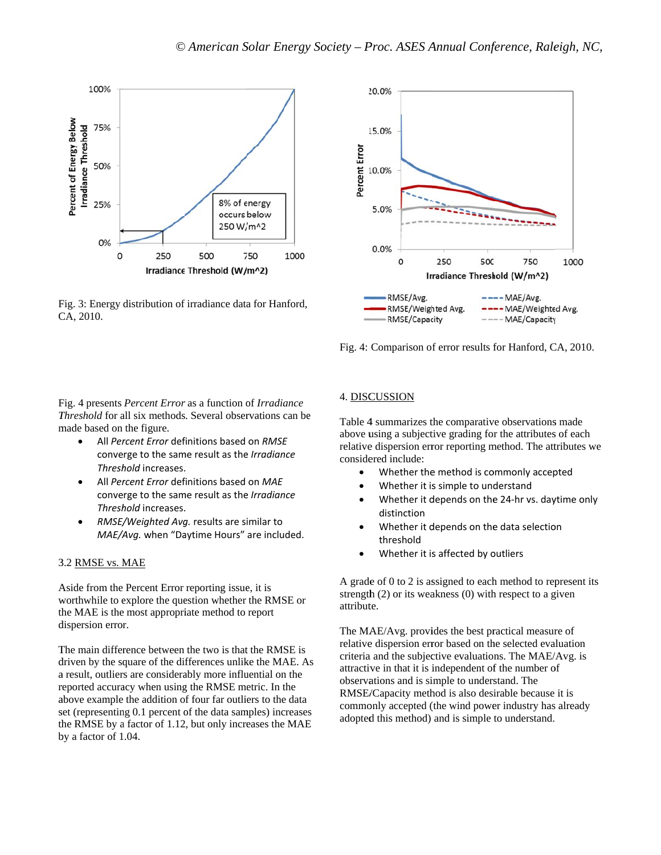

Fig. 3: Energy distribution of irradiance data for Hanford, C CA, 2010.



Comparison of error results for Hanford, CA, 2010.

## Fig. 4 presents Percent Error as a function of Irradiance Threshold for all six methods. Several observations can be m made based on the figure.

- All *Per rcent Error* def finitions based on *RMSE* converge to the same result as the *Irradiance Thresh hold* increases.
- All *Per rcent Error* def .finitions based on *MAE* converge to the same result as the *Irradiance* Threshold increases.
- RMSE/Weighted Avg. results are similar to MAE/Avg. when "Daytime Hours" are included.

# 3.2 RMSE vs. MAE

Aside from the Percent Error reporting issue, it is worthwhile to explore the question whether the RMSE or the MAE is the most appropriate method to report dispersion error. be<br>.<br>s<br>As

The main difference between the two is that the RMSE is driven by the square of the differences unlike the MAE. A a result, outliers are considerably more influential on the reported accuracy when using the RMSE metric. In the a above example the addition o f four far outli ers to the data set (representing 0.1 percent of the data samples) increases the RMSE by a factor of 1.12, but only increases the MAE b by a factor of 1 .04.

## 4. DISCUSSION

Table 4 summarizes the comparative observations made above using a subjective grading for the attributes of each relative dispersion error reporting method. The attributes we conside ered include:

- $\bullet$ Whether the method is commonly accepted
- $\bullet$ Whether it is simple to understand
- $\bullet$ Whether it depends on the 24-hr vs. daytime only distinction
- $\bullet$ Whether it depends on the data selection threshold
- $\bullet$ Whether it is affected by outliers

A grade of 0 to 2 is assigned to each method to represent its strength (2) or its weakness (0) with respect to a given attribut te.

Fig. 4:<br>
4. <u>DIS</u><br>
e Table dove<br>
above<br>
relative consid<br>
e Agrad<br>
e Agrad<br>
strengt attribu<br>
The M<br>
relative criteria<br>
attraction<br>
es<br>
B<br>
E Agrad<br>
conserved RMSE<br>
comme<br>
adopte The MAE/Avg. provides the best practical measure of relative dispersion error based on the selected evaluation criteria and the subjective evaluations. The MAE/Avg. is attractive in that it is independent of the number of observations and is simple to understand. The RMSE/Capacity method is also desirable because it is commonly accepted (the wind power industry has already adopted d this method) and is simple to understand.